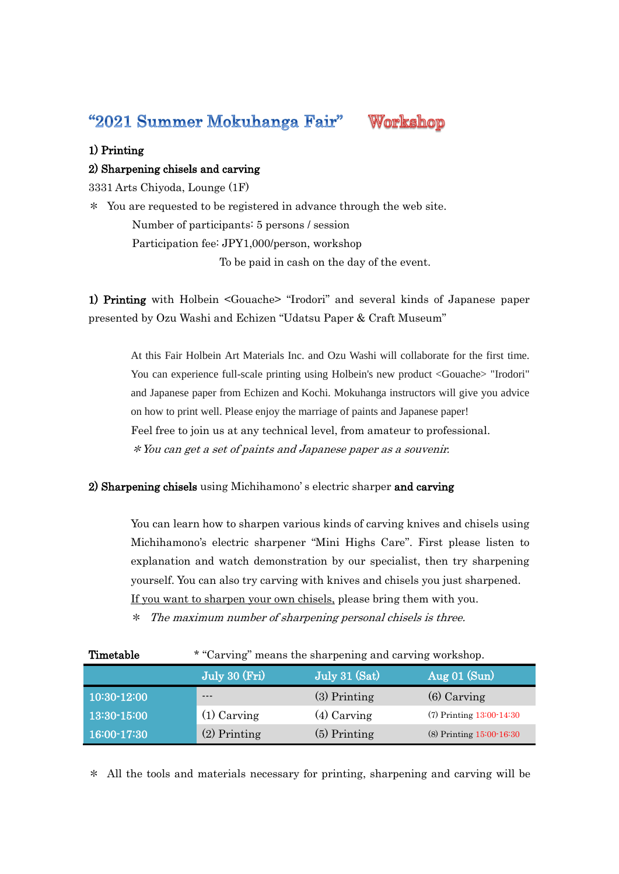"2021 Summer Mokuhanga Fair"



## 1) Printing

## 2) Sharpening chisels and carving

3331 Arts Chiyoda, Lounge (1F)

\* You are requested to be registered in advance through the web site. Number of participants: 5 persons / session Participation fee: JPY1,000/person, workshop To be paid in cash on the day of the event.

1) Printing with Holbein <Gouache> "Irodori" and several kinds of Japanese paper presented by Ozu Washi and Echizen "Udatsu Paper & Craft Museum"

At this Fair Holbein Art Materials Inc. and Ozu Washi will collaborate for the first time. You can experience full-scale printing using Holbein's new product <Gouache> "Irodori" and Japanese paper from Echizen and Kochi. Mokuhanga instructors will give you advice on how to print well. Please enjoy the marriage of paints and Japanese paper! Feel free to join us at any technical level, from amateur to professional. \*You can get a set of paints and Japanese paper as a souvenir.

## 2) Sharpening chisels using Michihamono's electric sharper and carving

You can learn how to sharpen various kinds of carving knives and chisels using Michihamono's electric sharpener "Mini Highs Care". First please listen to explanation and watch demonstration by our specialist, then try sharpening yourself. You can also try carving with knives and chisels you just sharpened. If you want to sharpen your own chisels, please bring them with you.

\* The maximum number of sharpening personal chisels is three.

| Timetable       | * "Carving" means the sharpening and carving workshop. |                |                              |
|-----------------|--------------------------------------------------------|----------------|------------------------------|
|                 | $ \overline{\rm July~30~(Fri)} $                       | July 31 (Sat)  | (Aug 01 (Sun))               |
| 10:30-12:00     | ---                                                    | $(3)$ Printing | $(6)$ Carving                |
| 13:30-15:00     | $(1)$ Carving                                          | $(4)$ Carving  | $(7)$ Printing $13:00-14:30$ |
| $16:00 - 17:30$ | $(2)$ Printing                                         | $(5)$ Printing | $(8)$ Printing $15:00-16:30$ |

\* All the tools and materials necessary for printing, sharpening and carving will be